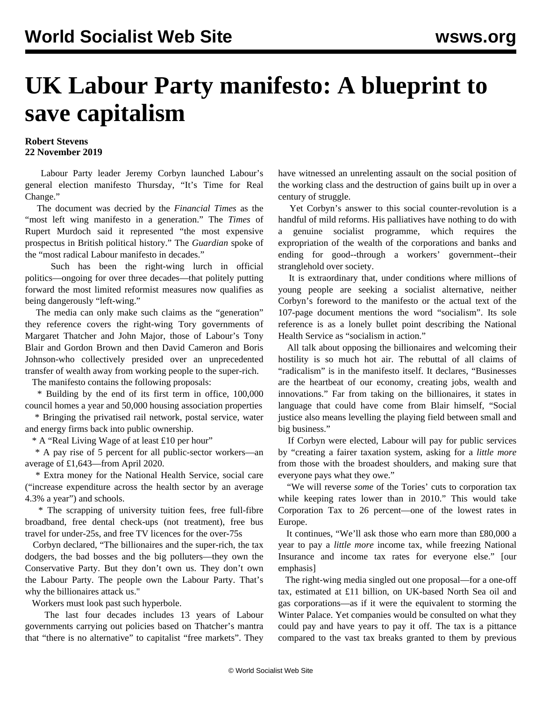## **UK Labour Party manifesto: A blueprint to save capitalism**

## **Robert Stevens 22 November 2019**

 Labour Party leader Jeremy Corbyn launched Labour's general election manifesto Thursday, "It's Time for Real Change."

 The document was decried by the *Financial Times* as the "most left wing manifesto in a generation." The *Times* of Rupert Murdoch said it represented "the most expensive prospectus in British political history." The *Guardian* spoke of the "most radical Labour manifesto in decades."

 Such has been the right-wing lurch in official politics—ongoing for over three decades—that politely putting forward the most limited reformist measures now qualifies as being dangerously "left-wing."

 The media can only make such claims as the "generation" they reference covers the right-wing Tory governments of Margaret Thatcher and John Major, those of Labour's Tony Blair and Gordon Brown and then David Cameron and Boris Johnson-who collectively presided over an unprecedented transfer of wealth away from working people to the super-rich.

The manifesto contains the following proposals:

 \* Building by the end of its first term in office, 100,000 council homes a year and 50,000 housing association properties

 \* Bringing the privatised rail network, postal service, water and energy firms back into public ownership.

\* A "Real Living Wage of at least £10 per hour"

 \* A pay rise of 5 percent for all public-sector workers—an average of £1,643—from April 2020.

 \* Extra money for the National Health Service, social care ("increase expenditure across the health sector by an average 4.3% a year") and schools.

 \* The scrapping of university tuition fees, free full-fibre broadband, free dental check-ups (not treatment), free bus travel for under-25s, and free TV licences for the over-75s

 Corbyn declared, "The billionaires and the super-rich, the tax dodgers, the bad bosses and the big polluters—they own the Conservative Party. But they don't own us. They don't own the Labour Party. The people own the Labour Party. That's why the billionaires attack us."

Workers must look past such hyperbole.

 The last four decades includes 13 years of Labour governments carrying out policies based on Thatcher's mantra that "there is no alternative" to capitalist "free markets". They have witnessed an unrelenting assault on the social position of the working class and the destruction of gains built up in over a century of struggle.

 Yet Corbyn's answer to this social counter-revolution is a handful of mild reforms. His palliatives have nothing to do with a genuine socialist programme, which requires the expropriation of the wealth of the corporations and banks and ending for good--through a workers' government--their stranglehold over society.

 It is extraordinary that, under conditions where millions of young people are seeking a socialist alternative, neither Corbyn's foreword to the manifesto or the actual text of the 107-page document mentions the word "socialism". Its sole reference is as a lonely bullet point describing the National Health Service as "socialism in action."

 All talk about opposing the billionaires and welcoming their hostility is so much hot air. The rebuttal of all claims of "radicalism" is in the manifesto itself. It declares, "Businesses are the heartbeat of our economy, creating jobs, wealth and innovations." Far from taking on the billionaires, it states in language that could have come from Blair himself, "Social justice also means levelling the playing field between small and big business."

 If Corbyn were elected, Labour will pay for public services by "creating a fairer taxation system, asking for a *little more* from those with the broadest shoulders, and making sure that everyone pays what they owe."

 "We will reverse *some* of the Tories' cuts to corporation tax while keeping rates lower than in 2010." This would take Corporation Tax to 26 percent—one of the lowest rates in Europe.

 It continues, "We'll ask those who earn more than £80,000 a year to pay a *little more* income tax, while freezing National Insurance and income tax rates for everyone else." [our emphasis]

 The right-wing media singled out one proposal—for a one-off tax, estimated at £11 billion, on UK-based North Sea oil and gas corporations—as if it were the equivalent to storming the Winter Palace. Yet companies would be consulted on what they could pay and have years to pay it off. The tax is a pittance compared to the vast tax breaks granted to them by previous